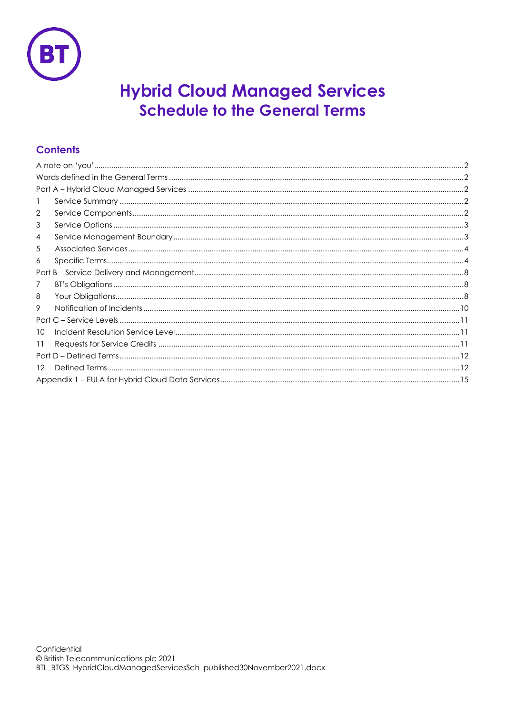

# **Hybrid Cloud Managed Services Schedule to the General Terms**

## **Contents**

| 2  |  |  |  |
|----|--|--|--|
| 3  |  |  |  |
| 4  |  |  |  |
| 5  |  |  |  |
| 6  |  |  |  |
|    |  |  |  |
| 7  |  |  |  |
| 8  |  |  |  |
| 9  |  |  |  |
|    |  |  |  |
| 10 |  |  |  |
| 11 |  |  |  |
|    |  |  |  |
| 12 |  |  |  |
|    |  |  |  |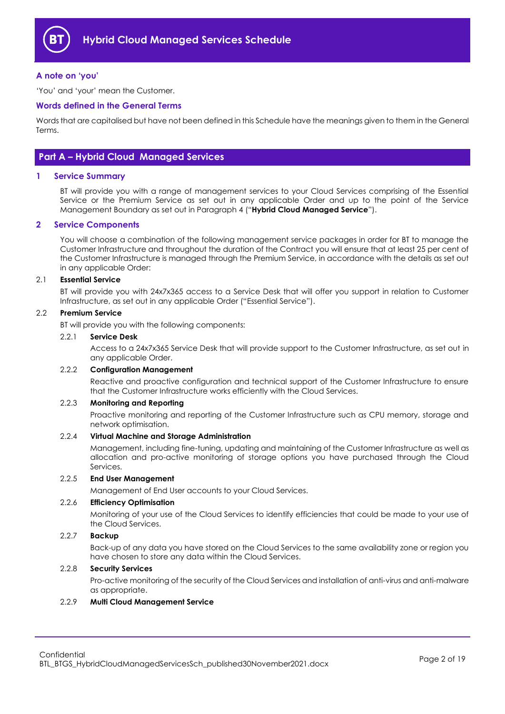

## <span id="page-1-0"></span>**A note on 'you'**

'You' and 'your' mean the Customer.

## <span id="page-1-1"></span>**Words defined in the General Terms**

Words that are capitalised but have not been defined in this Schedule have the meanings given to them in the General Terms.

## <span id="page-1-2"></span>**Part A – Hybrid Cloud Managed Services**

## <span id="page-1-3"></span>**1 Service Summary**

BT will provide you with a range of management services to your Cloud Services comprising of the Essential Service or the Premium Service as set out in any applicable Order and up to the point of the Service Management Boundary as set out in Paragrap[h 4](#page-2-1) ("**Hybrid Cloud Managed Service**").

## <span id="page-1-4"></span>**2 Service Components**

You will choose a combination of the following management service packages in order for BT to manage the Customer Infrastructure and throughout the duration of the Contract you will ensure that at least 25 per cent of the Customer Infrastructure is managed through the Premium Service, in accordance with the details as set out in any applicable Order:

#### <span id="page-1-6"></span>2.1 **Essential Service**

BT will provide you with 24x7x365 access to a Service Desk that will offer you support in relation to Customer Infrastructure, as set out in any applicable Order ("Essential Service").

## <span id="page-1-8"></span>2.2 **Premium Service**

BT will provide you with the following components:

#### 2.2.1 **Service Desk**

Access to a 24x7x365 Service Desk that will provide support to the Customer Infrastructure, as set out in any applicable Order.

#### 2.2.2 **Configuration Management**

Reactive and proactive configuration and technical support of the Customer Infrastructure to ensure that the Customer Infrastructure works efficiently with the Cloud Services.

#### 2.2.3 **Monitoring and Reporting**

Proactive monitoring and reporting of the Customer Infrastructure such as CPU memory, storage and network optimisation.

#### 2.2.4 **Virtual Machine and Storage Administration**

Management, including fine-tuning, updating and maintaining of the Customer Infrastructure as well as allocation and pro-active monitoring of storage options you have purchased through the Cloud Services.

## 2.2.5 **End User Management**

Management of End User accounts to your Cloud Services.

#### 2.2.6 **Efficiency Optimisation**

Monitoring of your use of the Cloud Services to identify efficiencies that could be made to your use of the Cloud Services.

## <span id="page-1-5"></span>2.2.7 **Backup**

Back-up of any data you have stored on the Cloud Services to the same availability zone or region you have chosen to store any data within the Cloud Services.

#### 2.2.8 **Security Services**

Pro-active monitoring of the security of the Cloud Services and installation of anti-virus and anti-malware as appropriate.

#### <span id="page-1-7"></span>2.2.9 **Multi Cloud Management Service**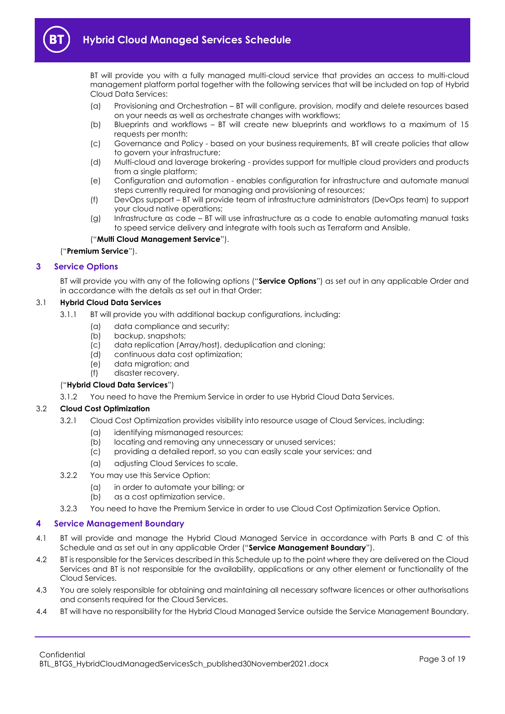

BT will provide you with a fully managed multi-cloud service that provides an access to multi-cloud management platform portal together with the following services that will be included on top of Hybrid Cloud Data Services:

- (a) Provisioning and Orchestration BT will configure, provision, modify and delete resources based on your needs as well as orchestrate changes with workflows;
- (b) Blueprints and workflows BT will create new blueprints and workflows to a maximum of 15 requests per month;
- (c) Governance and Policy based on your business requirements, BT will create policies that allow to govern your infrastructure;
- (d) Multi-cloud and laverage brokering provides support for multiple cloud providers and products from a single platform;
- (e) Configuration and automation enables configuration for infrastructure and automate manual steps currently required for managing and provisioning of resources;
- (f) DevOps support BT will provide team of infrastructure administrators (DevOps team) to support your cloud native operations;
- (g) Infrastructure as code BT will use infrastructure as a code to enable automating manual tasks to speed service delivery and integrate with tools such as Terraform and Ansible.

## ("**Multi Cloud Management Service**").

("**Premium Service**").

## <span id="page-2-0"></span>**3 Service Options**

BT will provide you with any of the following options ("**Service Options**") as set out in any applicable Order and in accordance with the details as set out in that Order:

## <span id="page-2-2"></span>3.1 **Hybrid Cloud Data Services**

- 3.1.1 BT will provide you with additional backup configurations, including:
	- (a) data compliance and security;
	- (b) backup, snapshots;
	- (c) data replication (Array/host), deduplication and cloning;
	- (d) continuous data cost optimization;
	- (e) data migration; and
	- (f) disaster recovery.

## ("**Hybrid Cloud Data Services**")

3.1.2 You need to have the Premium Service in order to use Hybrid Cloud Data Services.

## 3.2 **Cloud Cost Optimization**

- 3.2.1 Cloud Cost Optimization provides visibility into resource usage of Cloud Services, including:
	- (a) identifying mismanaged resources;
	- (b) locating and removing any unnecessary or unused services;
	- (c) providing a detailed report, so you can easily scale your services; and
	- (a) adjusting Cloud Services to scale.
- 3.2.2 You may use this Service Option:
	- (a) in order to automate your billing; or
	- (b) as a cost optimization service.
- 3.2.3 You need to have the Premium Service in order to use Cloud Cost Optimization Service Option.

## <span id="page-2-1"></span>**4 Service Management Boundary**

- 4.1 BT will provide and manage the Hybrid Cloud Managed Service in accordance with Parts B and C of this Schedule and as set out in any applicable Order ("**Service Management Boundary**").
- 4.2 BT is responsible for the Services described in this Schedule up to the point where they are delivered on the Cloud Services and BT is not responsible for the availability, applications or any other element or functionality of the Cloud Services.
- 4.3 You are solely responsible for obtaining and maintaining all necessary software licences or other authorisations and consents required for the Cloud Services.
- 4.4 BT will have no responsibility for the Hybrid Cloud Managed Service outside the Service Management Boundary.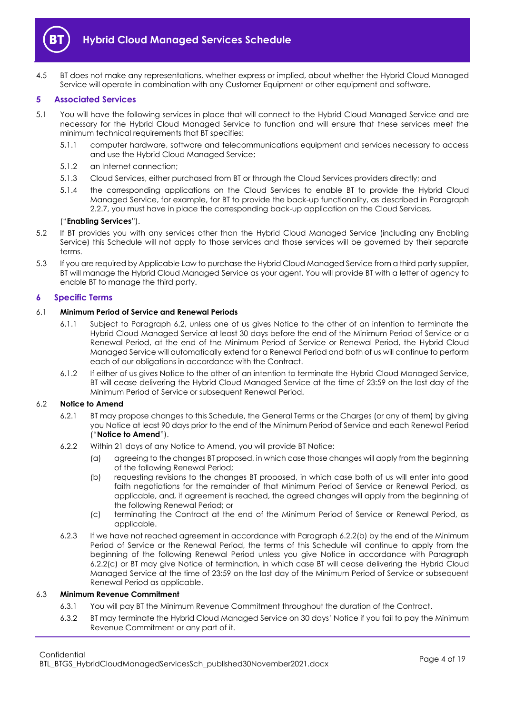

4.5 BT does not make any representations, whether express or implied, about whether the Hybrid Cloud Managed Service will operate in combination with any Customer Equipment or other equipment and software.

## <span id="page-3-0"></span>**5 Associated Services**

- <span id="page-3-5"></span>5.1 You will have the following services in place that will connect to the Hybrid Cloud Managed Service and are necessary for the Hybrid Cloud Managed Service to function and will ensure that these services meet the minimum technical requirements that BT specifies:
	- 5.1.1 computer hardware, software and telecommunications equipment and services necessary to access and use the Hybrid Cloud Managed Service;
	- 5.1.2 an Internet connection;
	- 5.1.3 Cloud Services, either purchased from BT or through the Cloud Services providers directly; and
	- 5.1.4 the corresponding applications on the Cloud Services to enable BT to provide the Hybrid Cloud Managed Service, for example, for BT to provide the back-up functionality, as described in Paragraph [2.2.7,](#page-1-5) you must have in place the corresponding back-up application on the Cloud Services,

#### ("**Enabling Services**").

- 5.2 If BT provides you with any services other than the Hybrid Cloud Managed Service (including any Enabling Service) this Schedule will not apply to those services and those services will be governed by their separate terms.
- 5.3 If you are required by Applicable Law to purchase the Hybrid Cloud Managed Service from a third party supplier, BT will manage the Hybrid Cloud Managed Service as your agent. You will provide BT with a letter of agency to enable BT to manage the third party.

#### <span id="page-3-1"></span>**6 Specific Terms**

## 6.1 **Minimum Period of Service and Renewal Periods**

- 6.1.1 Subject to Paragraph [6.2,](#page-3-2) unless one of us gives Notice to the other of an intention to terminate the Hybrid Cloud Managed Service at least 30 days before the end of the Minimum Period of Service or a Renewal Period, at the end of the Minimum Period of Service or Renewal Period, the Hybrid Cloud Managed Service will automatically extend for a Renewal Period and both of us will continue to perform each of our obligations in accordance with the Contract.
- 6.1.2 If either of us gives Notice to the other of an intention to terminate the Hybrid Cloud Managed Service, BT will cease delivering the Hybrid Cloud Managed Service at the time of 23:59 on the last day of the Minimum Period of Service or subsequent Renewal Period.

## <span id="page-3-2"></span>6.2 **Notice to Amend**

- 6.2.1 BT may propose changes to this Schedule, the General Terms or the Charges (or any of them) by giving you Notice at least 90 days prior to the end of the Minimum Period of Service and each Renewal Period ("**Notice to Amend**").
- <span id="page-3-3"></span>6.2.2 Within 21 days of any Notice to Amend, you will provide BT Notice:
	- (a) agreeing to the changes BT proposed, in which case those changes will apply from the beginning of the following Renewal Period;
	- (b) requesting revisions to the changes BT proposed, in which case both of us will enter into good faith negotiations for the remainder of that Minimum Period of Service or Renewal Period, as applicable, and, if agreement is reached, the agreed changes will apply from the beginning of the following Renewal Period; or
	- (c) terminating the Contract at the end of the Minimum Period of Service or Renewal Period, as applicable.
- <span id="page-3-4"></span>6.2.3 If we have not reached agreement in accordance with Paragraph [6.2.2\(b\)](#page-3-3) by the end of the Minimum Period of Service or the Renewal Period, the terms of this Schedule will continue to apply from the beginning of the following Renewal Period unless you give Notice in accordance with Paragraph [6.2.2\(c\)](#page-3-4) or BT may give Notice of termination, in which case BT will cease delivering the Hybrid Cloud Managed Service at the time of 23:59 on the last day of the Minimum Period of Service or subsequent Renewal Period as applicable.

## 6.3 **Minimum Revenue Commitment**

- 6.3.1 You will pay BT the Minimum Revenue Commitment throughout the duration of the Contract.
- 6.3.2 BT may terminate the Hybrid Cloud Managed Service on 30 days' Notice if you fail to pay the Minimum Revenue Commitment or any part of it.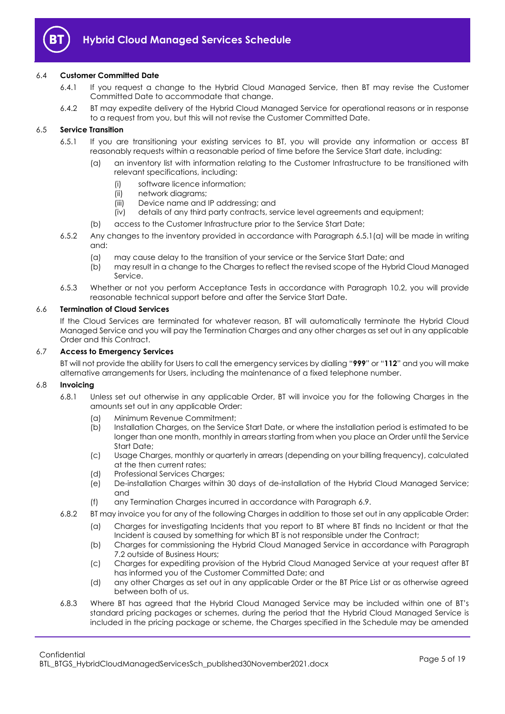

## 6.4 **Customer Committed Date**

- 6.4.1 If you request a change to the Hybrid Cloud Managed Service, then BT may revise the Customer Committed Date to accommodate that change.
- 6.4.2 BT may expedite delivery of the Hybrid Cloud Managed Service for operational reasons or in response to a request from you, but this will not revise the Customer Committed Date.

## 6.5 **Service Transition**

- <span id="page-4-0"></span>6.5.1 If you are transitioning your existing services to BT, you will provide any information or access BT reasonably requests within a reasonable period of time before the Service Start date, including:
	- (a) an inventory list with information relating to the Customer Infrastructure to be transitioned with relevant specifications, including:
		- (i) software licence information;
		- (ii) network diagrams;
		- (iii) Device name and IP addressing; and
		- (iv) details of any third party contracts, service level agreements and equipment;
	- (b) access to the Customer Infrastructure prior to the Service Start Date;
- 6.5.2 Any changes to the inventory provided in accordance with Paragraph [6.5.1\(a\)](#page-4-0) will be made in writing and:
	- (a) may cause delay to the transition of your service or the Service Start Date; and
	- (b) may result in a change to the Charges to reflect the revised scope of the Hybrid Cloud Managed Service.
- 6.5.3 Whether or not you perform Acceptance Tests in accordance with Paragraph [10.2,](#page-10-3) you will provide reasonable technical support before and after the Service Start Date.

#### 6.6 **Termination of Cloud Services**

If the Cloud Services are terminated for whatever reason, BT will automatically terminate the Hybrid Cloud Managed Service and you will pay the Termination Charges and any other charges as set out in any applicable Order and this Contract.

#### 6.7 **Access to Emergency Services**

BT will not provide the ability for Users to call the emergency services by dialling "**999**" or "**112**" and you will make alternative arrangements for Users, including the maintenance of a fixed telephone number.

#### 6.8 **Invoicing**

- 6.8.1 Unless set out otherwise in any applicable Order, BT will invoice you for the following Charges in the amounts set out in any applicable Order:
	- (a) Minimum Revenue Commitment;
	- (b) Installation Charges, on the Service Start Date, or where the installation period is estimated to be longer than one month, monthly in arrears starting from when you place an Order until the Service Start Date;
	- (c) Usage Charges, monthly or quarterly in arrears (depending on your billing frequency), calculated at the then current rates;
	- (d) Professional Services Charges;
	- (e) De-installation Charges within 30 days of de-installation of the Hybrid Cloud Managed Service; and
	- (f) any Termination Charges incurred in accordance with Paragraph [6.9.](#page-5-0)
- 6.8.2 BT may invoice you for any of the following Charges in addition to those set out in any applicable Order:
	- (a) Charges for investigating Incidents that you report to BT where BT finds no Incident or that the Incident is caused by something for which BT is not responsible under the Contract;
	- (b) Charges for commissioning the Hybrid Cloud Managed Service in accordance with Paragraph [7.2](#page-7-3) outside of Business Hours;
	- (c) Charges for expediting provision of the Hybrid Cloud Managed Service at your request after BT has informed you of the Customer Committed Date; and
	- (d) any other Charges as set out in any applicable Order or the BT Price List or as otherwise agreed between both of us.
- 6.8.3 Where BT has agreed that the Hybrid Cloud Managed Service may be included within one of BT's standard pricing packages or schemes, during the period that the Hybrid Cloud Managed Service is included in the pricing package or scheme, the Charges specified in the Schedule may be amended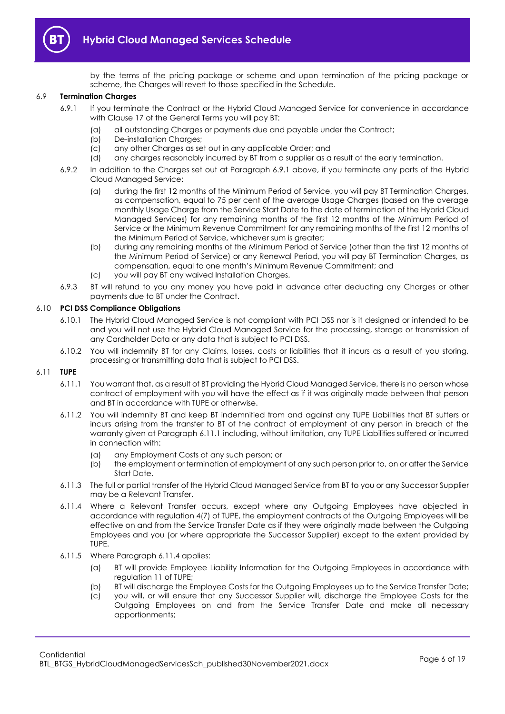

by the terms of the pricing package or scheme and upon termination of the pricing package or scheme, the Charges will revert to those specified in the Schedule.

## <span id="page-5-1"></span><span id="page-5-0"></span>6.9 **Termination Charges**

- 6.9.1 If you terminate the Contract or the Hybrid Cloud Managed Service for convenience in accordance with Clause 17 of the General Terms you will pay BT:
	- (a) all outstanding Charges or payments due and payable under the Contract;
	- (b) De-installation Charges;
	- (c) any other Charges as set out in any applicable Order; and
	- (d) any charges reasonably incurred by BT from a supplier as a result of the early termination.
- 6.9.2 In addition to the Charges set out at Paragraph [6.9.1](#page-5-1) above, if you terminate any parts of the Hybrid Cloud Managed Service:
	- (a) during the first 12 months of the Minimum Period of Service, you will pay BT Termination Charges, as compensation, equal to 75 per cent of the average Usage Charges (based on the average monthly Usage Charge from the Service Start Date to the date of termination of the Hybrid Cloud Managed Services) for any remaining months of the first 12 months of the Minimum Period of Service or the Minimum Revenue Commitment for any remaining months of the first 12 months of the Minimum Period of Service, whichever sum is greater;
	- (b) during any remaining months of the Minimum Period of Service (other than the first 12 months of the Minimum Period of Service) or any Renewal Period, you will pay BT Termination Charges, as compensation, equal to one month's Minimum Revenue Commitment; and
	- (c) you will pay BT any waived Installation Charges.
- 6.9.3 BT will refund to you any money you have paid in advance after deducting any Charges or other payments due to BT under the Contract.

## 6.10 **PCI DSS Compliance Obligations**

- 6.10.1 The Hybrid Cloud Managed Service is not compliant with PCI DSS nor is it designed or intended to be and you will not use the Hybrid Cloud Managed Service for the processing, storage or transmission of any Cardholder Data or any data that is subject to PCI DSS.
- 6.10.2 You will indemnify BT for any Claims, losses, costs or liabilities that it incurs as a result of you storing, processing or transmitting data that is subject to PCI DSS.

## <span id="page-5-2"></span>6.11 **TUPE**

- 6.11.1 You warrant that, as a result of BT providing the Hybrid Cloud Managed Service, there is no person whose contract of employment with you will have the effect as if it was originally made between that person and BT in accordance with TUPE or otherwise.
- <span id="page-5-5"></span>6.11.2 You will indemnify BT and keep BT indemnified from and against any TUPE Liabilities that BT suffers or incurs arising from the transfer to BT of the contract of employment of any person in breach of the warranty given at Paragraph [6.11.1](#page-5-2) including, without limitation, any TUPE Liabilities suffered or incurred in connection with:
	- (a) any Employment Costs of any such person; or
	- (b) the employment or termination of employment of any such person prior to, on or after the Service Start Date.
- 6.11.3 The full or partial transfer of the Hybrid Cloud Managed Service from BT to you or any Successor Supplier may be a Relevant Transfer.
- <span id="page-5-3"></span>6.11.4 Where a Relevant Transfer occurs, except where any Outgoing Employees have objected in accordance with regulation 4(7) of TUPE, the employment contracts of the Outgoing Employees will be effective on and from the Service Transfer Date as if they were originally made between the Outgoing Employees and you (or where appropriate the Successor Supplier) except to the extent provided by TUPE.
- <span id="page-5-4"></span>6.11.5 Where Paragrap[h 6.11.4](#page-5-3) applies:
	- (a) BT will provide Employee Liability Information for the Outgoing Employees in accordance with regulation 11 of TUPE;
	- (b) BT will discharge the Employee Costs for the Outgoing Employees up to the Service Transfer Date;
	- (c) you will, or will ensure that any Successor Supplier will, discharge the Employee Costs for the Outgoing Employees on and from the Service Transfer Date and make all necessary apportionments;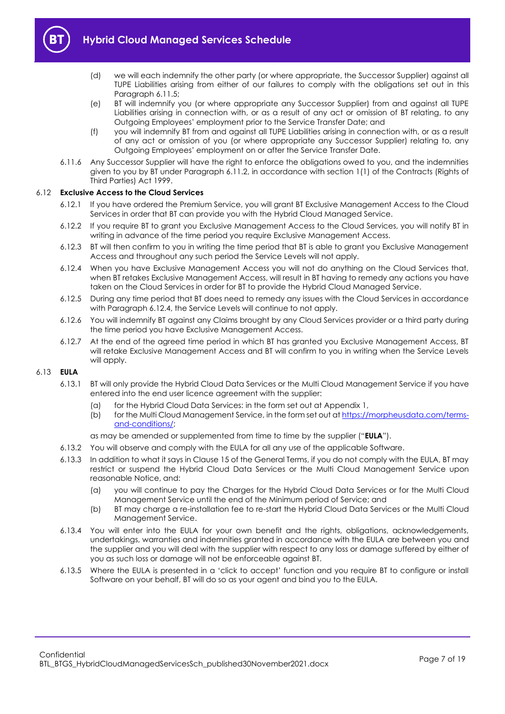

- (d) we will each indemnify the other party (or where appropriate, the Successor Supplier) against all TUPE Liabilities arising from either of our failures to comply with the obligations set out in this Paragraph [6.11.5;](#page-5-4)
- (e) BT will indemnify you (or where appropriate any Successor Supplier) from and against all TUPE Liabilities arising in connection with, or as a result of any act or omission of BT relating, to any Outgoing Employees' employment prior to the Service Transfer Date; and
- (f) you will indemnify BT from and against all TUPE Liabilities arising in connection with, or as a result of any act or omission of you (or where appropriate any Successor Supplier) relating to, any Outgoing Employees' employment on or after the Service Transfer Date.
- 6.11.6 Any Successor Supplier will have the right to enforce the obligations owed to you, and the indemnities given to you by BT under Paragrap[h 6.11.2,](#page-5-5) in accordance with section 1(1) of the Contracts (Rights of Third Parties) Act 1999.

## 6.12 **Exclusive Access to the Cloud Services**

- 6.12.1 If you have ordered the Premium Service, you will grant BT Exclusive Management Access to the Cloud Services in order that BT can provide you with the Hybrid Cloud Managed Service.
- <span id="page-6-1"></span>6.12.2 If you require BT to grant you Exclusive Management Access to the Cloud Services, you will notify BT in writing in advance of the time period you require Exclusive Management Access.
- <span id="page-6-2"></span>6.12.3 BT will then confirm to you in writing the time period that BT is able to grant you Exclusive Management Access and throughout any such period the Service Levels will not apply.
- <span id="page-6-0"></span>6.12.4 When you have Exclusive Management Access you will not do anything on the Cloud Services that, when BT retakes Exclusive Management Access, will result in BT having to remedy any actions you have taken on the Cloud Services in order for BT to provide the Hybrid Cloud Managed Service.
- 6.12.5 During any time period that BT does need to remedy any issues with the Cloud Services in accordance with Paragraph [6.12.4,](#page-6-0) the Service Levels will continue to not apply.
- 6.12.6 You will indemnify BT against any Claims brought by any Cloud Services provider or a third party during the time period you have Exclusive Management Access.
- 6.12.7 At the end of the agreed time period in which BT has granted you Exclusive Management Access, BT will retake Exclusive Management Access and BT will confirm to you in writing when the Service Levels will apply.

## <span id="page-6-3"></span>6.13 **EULA**

- 6.13.1 BT will only provide the Hybrid Cloud Data Services or the Multi Cloud Management Service if you have entered into the end user licence agreement with the supplier:
	- (a) for the Hybrid Cloud Data Services: in the form set out at Appendix 1,
	- (b) for the Multi Cloud Management Service, in the form set out at [https://morpheusdata.com/terms](https://morpheusdata.com/terms-and-conditions/)[and-conditions/;](https://morpheusdata.com/terms-and-conditions/)

as may be amended or supplemented from time to time by the supplier ("**EULA**").

- 6.13.2 You will observe and comply with the EULA for all any use of the applicable Software.
- 6.13.3 In addition to what it says in Clause 15 of the General Terms, if you do not comply with the EULA, BT may restrict or suspend the Hybrid Cloud Data Services or the Multi Cloud Management Service upon reasonable Notice, and:
	- (a) you will continue to pay the Charges for the Hybrid Cloud Data Services or for the Multi Cloud Management Service until the end of the Minimum period of Service; and
	- (b) BT may charge a re-installation fee to re-start the Hybrid Cloud Data Services or the Multi Cloud Management Service.
- 6.13.4 You will enter into the EULA for your own benefit and the rights, obligations, acknowledgements, undertakings, warranties and indemnities granted in accordance with the EULA are between you and the supplier and you will deal with the supplier with respect to any loss or damage suffered by either of you as such loss or damage will not be enforceable against BT.
- 6.13.5 Where the EULA is presented in a 'click to accept' function and you require BT to configure or install Software on your behalf, BT will do so as your agent and bind you to the EULA.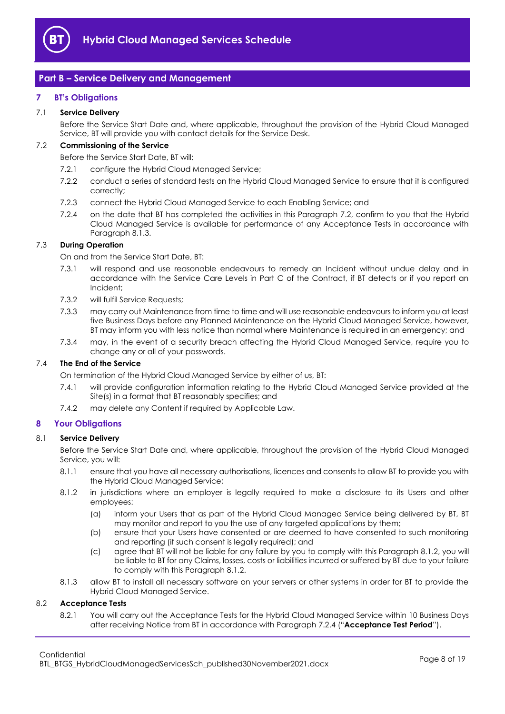

## <span id="page-7-0"></span>**Part B – Service Delivery and Management**

## <span id="page-7-1"></span>**7 BT's Obligations**

## 7.1 **Service Delivery**

Before the Service Start Date and, where applicable, throughout the provision of the Hybrid Cloud Managed Service, BT will provide you with contact details for the Service Desk.

## <span id="page-7-3"></span>7.2 **Commissioning of the Service**

Before the Service Start Date, BT will:

- 7.2.1 configure the Hybrid Cloud Managed Service;
- 7.2.2 conduct a series of standard tests on the Hybrid Cloud Managed Service to ensure that it is configured correctly;
- 7.2.3 connect the Hybrid Cloud Managed Service to each Enabling Service; and
- <span id="page-7-6"></span>7.2.4 on the date that BT has completed the activities in this Paragraph [7.2,](#page-7-3) confirm to you that the Hybrid Cloud Managed Service is available for performance of any Acceptance Tests in accordance with Paragrap[h 8.1.3.](#page-7-4)

## <span id="page-7-8"></span>7.3 **During Operation**

On and from the Service Start Date, BT:

- 7.3.1 will respond and use reasonable endeavours to remedy an Incident without undue delay and in accordance with the Service Care Levels in Part C of the Contract, if BT detects or if you report an Incident;
- 7.3.2 will fulfil Service Requests;
- 7.3.3 may carry out Maintenance from time to time and will use reasonable endeavours to inform you at least five Business Days before any Planned Maintenance on the Hybrid Cloud Managed Service, however, BT may inform you with less notice than normal where Maintenance is required in an emergency; and
- 7.3.4 may, in the event of a security breach affecting the Hybrid Cloud Managed Service, require you to change any or all of your passwords.

## 7.4 **The End of the Service**

On termination of the Hybrid Cloud Managed Service by either of us, BT:

- 7.4.1 will provide configuration information relating to the Hybrid Cloud Managed Service provided at the Site(s) in a format that BT reasonably specifies; and
- 7.4.2 may delete any Content if required by Applicable Law.

## <span id="page-7-2"></span>**8 Your Obligations**

## 8.1 **Service Delivery**

Before the Service Start Date and, where applicable, throughout the provision of the Hybrid Cloud Managed Service, you will:

- 8.1.1 ensure that you have all necessary authorisations, licences and consents to allow BT to provide you with the Hybrid Cloud Managed Service;
- <span id="page-7-5"></span>8.1.2 in jurisdictions where an employer is legally required to make a disclosure to its Users and other employees:
	- (a) inform your Users that as part of the Hybrid Cloud Managed Service being delivered by BT, BT may monitor and report to you the use of any targeted applications by them;
	- (b) ensure that your Users have consented or are deemed to have consented to such monitoring and reporting (if such consent is legally required); and
	- (c) agree that BT will not be liable for any failure by you to comply with this Paragraph [8.1.2,](#page-7-5) you will be liable to BT for any Claims, losses, costs or liabilities incurred or suffered by BT due to your failure to comply with this Paragrap[h 8.1.2.](#page-7-5)
- 8.1.3 allow BT to install all necessary software on your servers or other systems in order for BT to provide the Hybrid Cloud Managed Service.

#### <span id="page-7-7"></span><span id="page-7-4"></span>8.2 **Acceptance Tests**

8.2.1 You will carry out the Acceptance Tests for the Hybrid Cloud Managed Service within 10 Business Days after receiving Notice from BT in accordance with Paragraph [7.2.4](#page-7-6) ("**Acceptance Test Period**").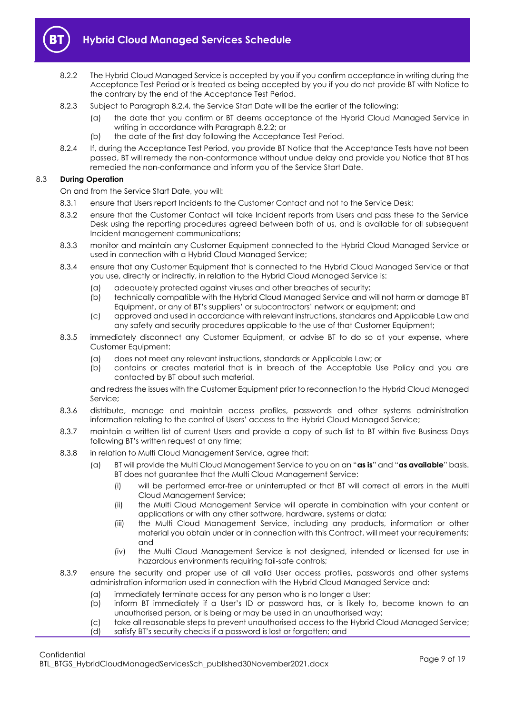

- <span id="page-8-1"></span>8.2.2 The Hybrid Cloud Managed Service is accepted by you if you confirm acceptance in writing during the Acceptance Test Period or is treated as being accepted by you if you do not provide BT with Notice to the contrary by the end of the Acceptance Test Period.
- 8.2.3 Subject to Paragraph [8.2.4,](#page-8-0) the Service Start Date will be the earlier of the following:
	- (a) the date that you confirm or BT deems acceptance of the Hybrid Cloud Managed Service in writing in accordance with Paragraph [8.2.2;](#page-8-1) or
	- (b) the date of the first day following the Acceptance Test Period.
- <span id="page-8-0"></span>8.2.4 If, during the Acceptance Test Period, you provide BT Notice that the Acceptance Tests have not been passed, BT will remedy the non-conformance without undue delay and provide you Notice that BT has remedied the non-conformance and inform you of the Service Start Date.

## 8.3 **During Operation**

On and from the Service Start Date, you will:

- 8.3.1 ensure that Users report Incidents to the Customer Contact and not to the Service Desk;
- 8.3.2 ensure that the Customer Contact will take Incident reports from Users and pass these to the Service Desk using the reporting procedures agreed between both of us, and is available for all subsequent Incident management communications;
- 8.3.3 monitor and maintain any Customer Equipment connected to the Hybrid Cloud Managed Service or used in connection with a Hybrid Cloud Managed Service;
- 8.3.4 ensure that any Customer Equipment that is connected to the Hybrid Cloud Managed Service or that you use, directly or indirectly, in relation to the Hybrid Cloud Managed Service is:
	- (a) adequately protected against viruses and other breaches of security;
	- (b) technically compatible with the Hybrid Cloud Managed Service and will not harm or damage BT Equipment, or any of BT's suppliers' or subcontractors' network or equipment; and
	- (c) approved and used in accordance with relevant instructions, standards and Applicable Law and any safety and security procedures applicable to the use of that Customer Equipment;
- 8.3.5 immediately disconnect any Customer Equipment, or advise BT to do so at your expense, where Customer Equipment:
	- (a) does not meet any relevant instructions, standards or Applicable Law; or
	- (b) contains or creates material that is in breach of the Acceptable Use Policy and you are contacted by BT about such material,

and redress the issues with the Customer Equipment prior to reconnection to the Hybrid Cloud Managed Service;

- 8.3.6 distribute, manage and maintain access profiles, passwords and other systems administration information relating to the control of Users' access to the Hybrid Cloud Managed Service;
- 8.3.7 maintain a written list of current Users and provide a copy of such list to BT within five Business Days following BT's written request at any time;
- 8.3.8 in relation to Multi Cloud Management Service, agree that:
	- (a) BT will provide the Multi Cloud Management Service to you on an "**as is**" and "**as available**" basis. BT does not guarantee that the Multi Cloud Management Service:
		- (i) will be performed error-free or uninterrupted or that BT will correct all errors in the Multi Cloud Management Service;
		- (ii) the Multi Cloud Management Service will operate in combination with your content or applications or with any other software, hardware, systems or data;
		- (iii) the Multi Cloud Management Service, including any products, information or other material you obtain under or in connection with this Contract, will meet your requirements; and
		- (iv) the Multi Cloud Management Service is not designed, intended or licensed for use in hazardous environments requiring fail-safe controls;
- 8.3.9 ensure the security and proper use of all valid User access profiles, passwords and other systems administration information used in connection with the Hybrid Cloud Managed Service and:
	- (a) immediately terminate access for any person who is no longer a User;
	- (b) inform BT immediately if a User's ID or password has, or is likely to, become known to an unauthorised person, or is being or may be used in an unauthorised way;
	- (c) take all reasonable steps to prevent unauthorised access to the Hybrid Cloud Managed Service;
	- (d) satisfy BT's security checks if a password is lost or forgotten; and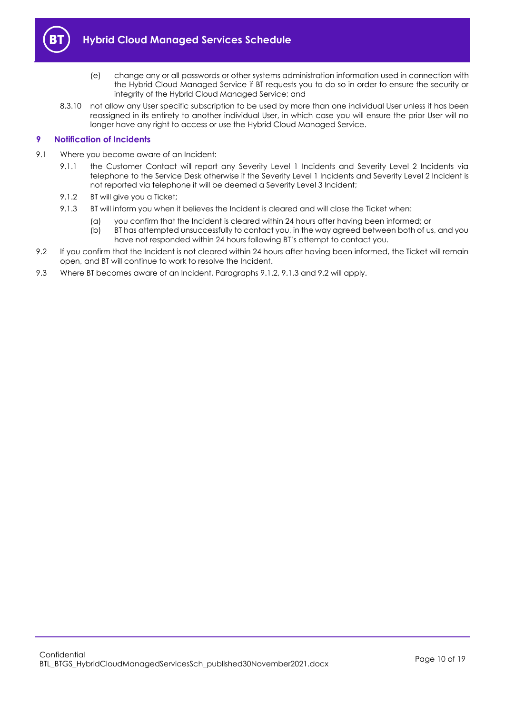

- (e) change any or all passwords or other systems administration information used in connection with the Hybrid Cloud Managed Service if BT requests you to do so in order to ensure the security or integrity of the Hybrid Cloud Managed Service; and
- 8.3.10 not allow any User specific subscription to be used by more than one individual User unless it has been reassigned in its entirety to another individual User, in which case you will ensure the prior User will no longer have any right to access or use the Hybrid Cloud Managed Service.

## <span id="page-9-0"></span>**9 Notification of Incidents**

- <span id="page-9-1"></span>9.1 Where you become aware of an Incident:
	- 9.1.1 the Customer Contact will report any Severity Level 1 Incidents and Severity Level 2 Incidents via telephone to the Service Desk otherwise if the Severity Level 1 Incidents and Severity Level 2 Incident is not reported via telephone it will be deemed a Severity Level 3 Incident;
	- 9.1.2 BT will give you a Ticket:
	- 9.1.3 BT will inform you when it believes the Incident is cleared and will close the Ticket when:
		- (a) you confirm that the Incident is cleared within 24 hours after having been informed; or
		- (b) BT has attempted unsuccessfully to contact you, in the way agreed between both of us, and you have not responded within 24 hours following BT's attempt to contact you.
- <span id="page-9-3"></span><span id="page-9-2"></span>9.2 If you confirm that the Incident is not cleared within 24 hours after having been informed, the Ticket will remain open, and BT will continue to work to resolve the Incident.
- 9.3 Where BT becomes aware of an Incident, Paragraphs [9.1.2,](#page-9-1) [9.1.3](#page-9-2) and [9.2](#page-9-3) will apply.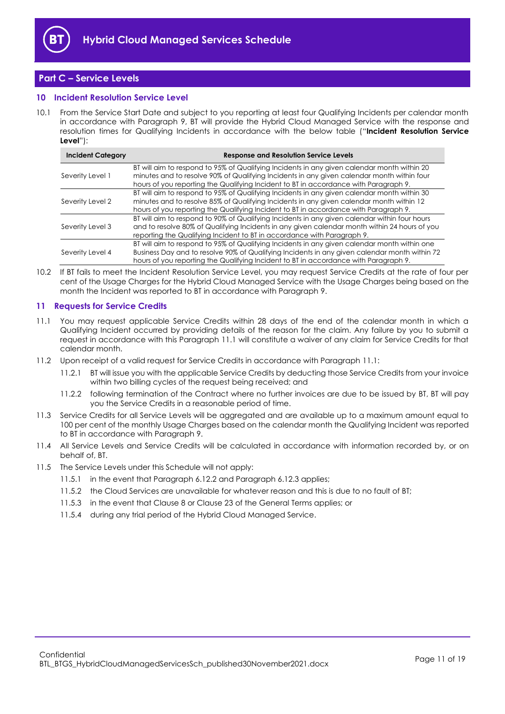

## <span id="page-10-0"></span>**Part C – Service Levels**

## <span id="page-10-1"></span>**10 Incident Resolution Service Level**

10.1 From the Service Start Date and subject to you reporting at least four Qualifying Incidents per calendar month in accordance with Paragraph [9,](#page-9-0) BT will provide the Hybrid Cloud Managed Service with the response and resolution times for Qualifying Incidents in accordance with the below table ("**Incident Resolution Service Level**"):

| <b>Incident Category</b> | <b>Response and Resolution Service Levels</b>                                                                                                                                                                                                                                         |
|--------------------------|---------------------------------------------------------------------------------------------------------------------------------------------------------------------------------------------------------------------------------------------------------------------------------------|
| Severity Level 1         | BT will aim to respond to 95% of Qualifying Incidents in any given calendar month within 20<br>minutes and to resolve 90% of Qualifying Incidents in any given calendar month within four<br>hours of you reporting the Qualifying Incident to BT in accordance with Paragraph 9.     |
| Severity Level 2         | BT will aim to respond to 95% of Qualifying Incidents in any given calendar month within 30<br>minutes and to resolve 85% of Qualifying Incidents in any given calendar month within 12<br>hours of you reporting the Qualifying Incident to BT in accordance with Paragraph 9.       |
| Severity Level 3         | BT will aim to respond to 90% of Qualifying Incidents in any given calendar within four hours<br>and to resolve 80% of Qualifying Incidents in any given calendar month within 24 hours of you<br>reporting the Qualifying Incident to BT in accordance with Paragraph 9.             |
| Severity Level 4         | BT will aim to respond to 95% of Qualifying Incidents in any given calendar month within one<br>Business Day and to resolve 90% of Qualifying Incidents in any given calendar month within 72<br>hours of you reporting the Qualifying Incident to BT in accordance with Paragraph 9. |

<span id="page-10-3"></span>10.2 If BT fails to meet the Incident Resolution Service Level, you may request Service Credits at the rate of four per cent of the Usage Charges for the Hybrid Cloud Managed Service with the Usage Charges being based on the month the Incident was reported to BT in accordance with Paragraph [9.](#page-9-0)

## <span id="page-10-2"></span>**11 Requests for Service Credits**

- <span id="page-10-4"></span>11.1 You may request applicable Service Credits within 28 days of the end of the calendar month in which a Qualifying Incident occurred by providing details of the reason for the claim. Any failure by you to submit a request in accordance with this Paragraph [11.1](#page-10-4) will constitute a waiver of any claim for Service Credits for that calendar month.
- 11.2 Upon receipt of a valid request for Service Credits in accordance with Paragraph [11.1:](#page-10-4)
	- 11.2.1 BT will issue you with the applicable Service Credits by deducting those Service Credits from your invoice within two billing cycles of the request being received; and
	- 11.2.2 following termination of the Contract where no further invoices are due to be issued by BT, BT will pay you the Service Credits in a reasonable period of time.
- 11.3 Service Credits for all Service Levels will be aggregated and are available up to a maximum amount equal to 100 per cent of the monthly Usage Charges based on the calendar month the Qualifying Incident was reported to BT in accordance with Paragrap[h 9.](#page-9-0)
- 11.4 All Service Levels and Service Credits will be calculated in accordance with information recorded by, or on behalf of, BT.
- 11.5 The Service Levels under this Schedule will not apply:
	- 11.5.1 in the event that Paragraph [6.12.2](#page-6-1) and Paragrap[h 6.12.3](#page-6-2) applies;
	- 11.5.2 the Cloud Services are unavailable for whatever reason and this is due to no fault of BT;
	- 11.5.3 in the event that Clause 8 or Clause 23 of the General Terms applies; or
	- 11.5.4 during any trial period of the Hybrid Cloud Managed Service.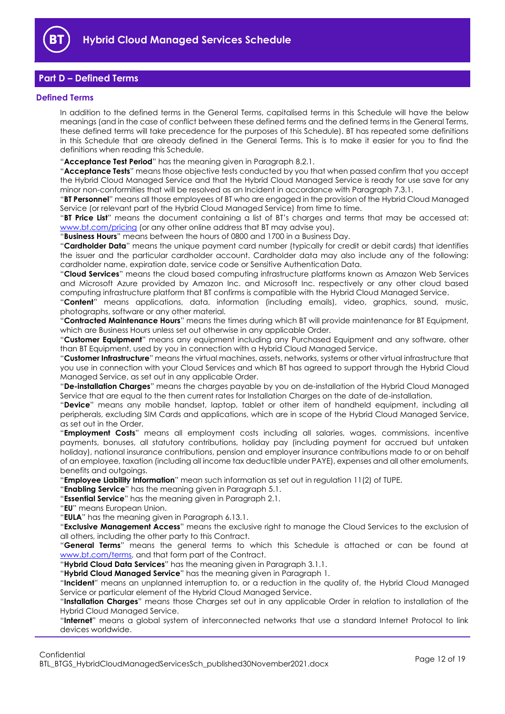

## <span id="page-11-0"></span>**Part D – Defined Terms**

#### <span id="page-11-1"></span>**Defined Terms**

In addition to the defined terms in the General Terms, capitalised terms in this Schedule will have the below meanings (and in the case of conflict between these defined terms and the defined terms in the General Terms, these defined terms will take precedence for the purposes of this Schedule). BT has repeated some definitions in this Schedule that are already defined in the General Terms. This is to make it easier for you to find the definitions when reading this Schedule.

"**Acceptance Test Period**" has the meaning given in Paragrap[h 8.2.1.](#page-7-7)

"**Acceptance Tests**" means those objective tests conducted by you that when passed confirm that you accept the Hybrid Cloud Managed Service and that the Hybrid Cloud Managed Service is ready for use save for any minor non-conformities that will be resolved as an Incident in accordance with Paragrap[h 7.3.1.](#page-7-8)

"**BT Personnel**" means all those employees of BT who are engaged in the provision of the Hybrid Cloud Managed Service (or relevant part of the Hybrid Cloud Managed Service) from time to time.

"**BT Price List**" means the document containing a list of BT's charges and terms that may be accessed at: [www.bt.com/pricing](http://www.bt.com/pricing) (or any other online address that BT may advise you).

"**Business Hours**" means between the hours of 0800 and 1700 in a Business Day.

"**Cardholder Data**" means the unique payment card number (typically for credit or debit cards) that identifies the issuer and the particular cardholder account. Cardholder data may also include any of the following: cardholder name, expiration date, service code or Sensitive Authentication Data.

"**Cloud Services**" means the cloud based computing infrastructure platforms known as Amazon Web Services and Microsoft Azure provided by Amazon Inc. and Microsoft Inc. respectively or any other cloud based computing infrastructure platform that BT confirms is compatible with the Hybrid Cloud Managed Service.

"**Content**" means applications, data, information (including emails), video, graphics, sound, music, photographs, software or any other material.

"**Contracted Maintenance Hours**" means the times during which BT will provide maintenance for BT Equipment, which are Business Hours unless set out otherwise in any applicable Order.

"**Customer Equipment**" means any equipment including any Purchased Equipment and any software, other than BT Equipment, used by you in connection with a Hybrid Cloud Managed Service.

"**Customer Infrastructure**" means the virtual machines, assets, networks, systems or other virtual infrastructure that you use in connection with your Cloud Services and which BT has agreed to support through the Hybrid Cloud Managed Service, as set out in any applicable Order.

"**De-installation Charges**" means the charges payable by you on de-installation of the Hybrid Cloud Managed Service that are equal to the then current rates for Installation Charges on the date of de-installation.

"**Device**" means any mobile handset, laptop, tablet or other item of handheld equipment, including all peripherals, excluding SIM Cards and applications, which are in scope of the Hybrid Cloud Managed Service, as set out in the Order.

"**Employment Costs**" means all employment costs including all salaries, wages, commissions, incentive payments, bonuses, all statutory contributions, holiday pay (including payment for accrued but untaken holiday), national insurance contributions, pension and employer insurance contributions made to or on behalf of an employee, taxation (including all income tax deductible under PAYE), expenses and all other emoluments, benefits and outgoings.

"**Employee Liability Information**" mean such information as set out in regulation 11(2) of TUPE.

"**Enabling Service**" has the meaning given in Paragrap[h 5.1.](#page-3-5)

"**Essential Service**" has the meaning given in Paragrap[h 2.1.](#page-1-6)

"**EU**" means European Union.

"**EULA**" has the meaning given in Paragraph [6.13.1.](#page-6-3)

"**Exclusive Management Access**" means the exclusive right to manage the Cloud Services to the exclusion of all others, including the other party to this Contract.

"**General Terms**" means the general terms to which this Schedule is attached or can be found at [www.bt.com/terms,](http://www.bt.com/terms) and that form part of the Contract.

"**Hybrid Cloud Data Services**" has the meaning given in Paragraph [3.1.1.](#page-2-2) 

"**Hybrid Cloud Managed Service**" has the meaning given in Paragraph [1.](#page-1-3)

"**Incident**" means an unplanned interruption to, or a reduction in the quality of, the Hybrid Cloud Managed Service or particular element of the Hybrid Cloud Managed Service.

"**Installation Charges**" means those Charges set out in any applicable Order in relation to installation of the Hybrid Cloud Managed Service.

"**Internet**" means a global system of interconnected networks that use a standard Internet Protocol to link devices worldwide.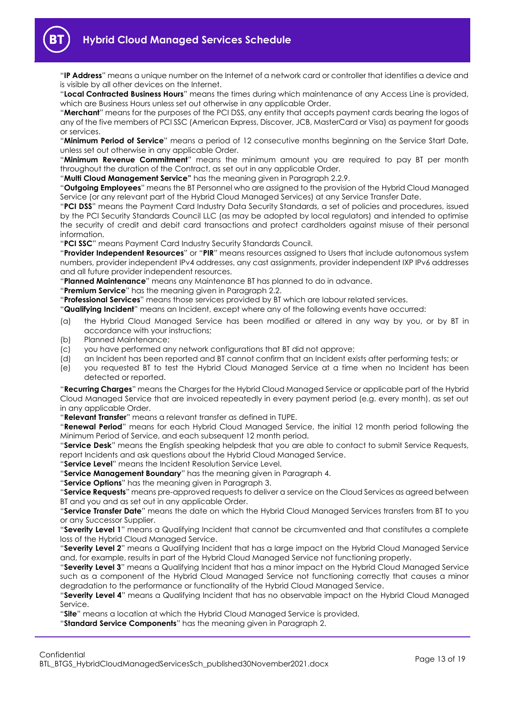"**IP Address**" means a unique number on the Internet of a network card or controller that identifies a device and is visible by all other devices on the Internet.

"**Local Contracted Business Hours**" means the times during which maintenance of any Access Line is provided, which are Business Hours unless set out otherwise in any applicable Order.

"**Merchant**" means for the purposes of the PCI DSS, any entity that accepts payment cards bearing the logos of any of the five members of PCI SSC (American Express, Discover, JCB, MasterCard or Visa) as payment for goods or services.

"**Minimum Period of Service**" means a period of 12 consecutive months beginning on the Service Start Date, unless set out otherwise in any applicable Order.

"**Minimum Revenue Commitment**" means the minimum amount you are required to pay BT per month throughout the duration of the Contract, as set out in any applicable Order.

"**Multi Cloud Management Service"** has the meaning given in Paragraph [2.2.9.](#page-1-7)

"**Outgoing Employees**" means the BT Personnel who are assigned to the provision of the Hybrid Cloud Managed Service (or any relevant part of the Hybrid Cloud Managed Services) at any Service Transfer Date.

"**PCI DSS**" means the Payment Card Industry Data Security Standards, a set of policies and procedures, issued by the PCI Security Standards Council LLC (as may be adopted by local regulators) and intended to optimise the security of credit and debit card transactions and protect cardholders against misuse of their personal information.

"**PCI SSC**" means Payment Card Industry Security Standards Council.

"**Provider Independent Resources**" or "**PIR**" means resources assigned to Users that include autonomous system numbers, provider independent IPv4 addresses, any cast assignments, provider independent IXP IPv6 addresses and all future provider independent resources.

"**Planned Maintenance**" means any Maintenance BT has planned to do in advance.

"**Premium Service**" has the meaning given in Paragraph [2.2.](#page-1-8)

"**Professional Services**" means those services provided by BT which are labour related services.

"**Qualifying Incident**" means an Incident, except where any of the following events have occurred:

- (a) the Hybrid Cloud Managed Service has been modified or altered in any way by you, or by BT in accordance with your instructions;
- (b) Planned Maintenance;
- (c) you have performed any network configurations that BT did not approve;
- (d) an Incident has been reported and BT cannot confirm that an Incident exists after performing tests; or
- (e) you requested BT to test the Hybrid Cloud Managed Service at a time when no Incident has been detected or reported.

"**Recurring Charges**" means the Charges for the Hybrid Cloud Managed Service or applicable part of the Hybrid Cloud Managed Service that are invoiced repeatedly in every payment period (e.g. every month), as set out in any applicable Order.

"**Relevant Transfer**" means a relevant transfer as defined in TUPE.

"**Renewal Period**" means for each Hybrid Cloud Managed Service, the initial 12 month period following the Minimum Period of Service, and each subsequent 12 month period.

"**Service Desk**" means the English speaking helpdesk that you are able to contact to submit Service Requests, report Incidents and ask questions about the Hybrid Cloud Managed Service.

"**Service Level**" means the Incident Resolution Service Level.

"**Service Management Boundary**" has the meaning given in Paragrap[h 4.](#page-2-1)

"**Service Options**" has the meaning given in Paragraph [3.](#page-2-0)

"**Service Requests**" means pre-approved requests to deliver a service on the Cloud Services as agreed between BT and you and as set out in any applicable Order.

"**Service Transfer Date**" means the date on which the Hybrid Cloud Managed Services transfers from BT to you or any Successor Supplier.

"**Severity Level 1**" means a Qualifying Incident that cannot be circumvented and that constitutes a complete loss of the Hybrid Cloud Managed Service.

"**Severity Level 2**" means a Qualifying Incident that has a large impact on the Hybrid Cloud Managed Service and, for example, results in part of the Hybrid Cloud Managed Service not functioning properly.

"**Severity Level 3**" means a Qualifying Incident that has a minor impact on the Hybrid Cloud Managed Service such as a component of the Hybrid Cloud Managed Service not functioning correctly that causes a minor degradation to the performance or functionality of the Hybrid Cloud Managed Service.

"**Severity Level 4**" means a Qualifying Incident that has no observable impact on the Hybrid Cloud Managed Service.

"**Site**" means a location at which the Hybrid Cloud Managed Service is provided.

"**Standard Service Components**" has the meaning given in Paragraph [2.](#page-1-4)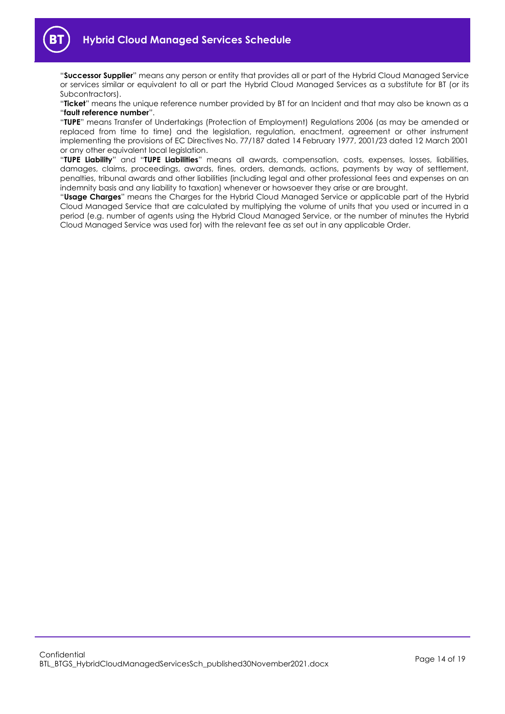"**Successor Supplier**" means any person or entity that provides all or part of the Hybrid Cloud Managed Service or services similar or equivalent to all or part the Hybrid Cloud Managed Services as a substitute for BT (or its Subcontractors).

"**Ticket**" means the unique reference number provided by BT for an Incident and that may also be known as a "**fault reference number**".

"**TUPE**" means Transfer of Undertakings (Protection of Employment) Regulations 2006 (as may be amended or replaced from time to time) and the legislation, regulation, enactment, agreement or other instrument implementing the provisions of EC Directives No. 77/187 dated 14 February 1977, 2001/23 dated 12 March 2001 or any other equivalent local legislation.

"**TUPE Liability**" and "**TUPE Liabilities**" means all awards, compensation, costs, expenses, losses, liabilities, damages, claims, proceedings, awards, fines, orders, demands, actions, payments by way of settlement, penalties, tribunal awards and other liabilities (including legal and other professional fees and expenses on an indemnity basis and any liability to taxation) whenever or howsoever they arise or are brought.

"**Usage Charges**" means the Charges for the Hybrid Cloud Managed Service or applicable part of the Hybrid Cloud Managed Service that are calculated by multiplying the volume of units that you used or incurred in a period (e.g. number of agents using the Hybrid Cloud Managed Service, or the number of minutes the Hybrid Cloud Managed Service was used for) with the relevant fee as set out in any applicable Order.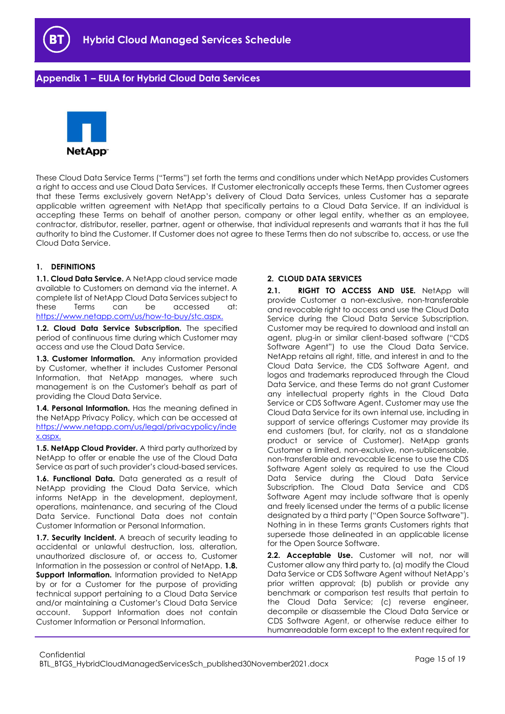

## <span id="page-14-0"></span>**Appendix 1 – EULA for Hybrid Cloud Data Services**



These Cloud Data Service Terms ("Terms") set forth the terms and conditions under which NetApp provides Customers a right to access and use Cloud Data Services. If Customer electronically accepts these Terms, then Customer agrees that these Terms exclusively govern NetApp's delivery of Cloud Data Services, unless Customer has a separate applicable written agreement with NetApp that specifically pertains to a Cloud Data Service. If an individual is accepting these Terms on behalf of another person, company or other legal entity, whether as an employee, contractor, distributor, reseller, partner, agent or otherwise, that individual represents and warrants that it has the full authority to bind the Customer. If Customer does not agree to these Terms then do not subscribe to, access, or use the Cloud Data Service.

## **1. DEFINITIONS**

**1.1. Cloud Data Service.** A NetApp cloud service made available to Customers on demand via the internet. A complete list of NetApp Cloud Data Services subject to these Terms can be accessed at: [https://www.netapp.com/us/how-to-buy/stc.aspx.](https://www.netapp.com/us/how-to-buy/stc.aspx)

**1.2. Cloud Data Service Subscription.** The specified period of continuous time during which Customer may access and use the Cloud Data Service.

**1.3. Customer Information.** Any information provided by Customer, whether it includes Customer Personal Information, that NetApp manages, where such management is on the Customer's behalf as part of providing the Cloud Data Service.

**1.4. Personal Information.** Has the meaning defined in the NetApp Privacy Policy, which can be accessed at [https://www.netapp.com/us/legal/privacypolicy/inde](https://www.netapp.com/us/legal/privacypolicy/index.aspx) [x.aspx.](https://www.netapp.com/us/legal/privacypolicy/index.aspx)

**1.5. NetApp Cloud Provider.** A third party authorized by NetApp to offer or enable the use of the Cloud Data Service as part of such provider's cloud-based services.

**1.6. Functional Data.** Data generated as a result of NetApp providing the Cloud Data Service, which informs NetApp in the development, deployment, operations, maintenance, and securing of the Cloud Data Service. Functional Data does not contain Customer Information or Personal Information.

**1.7. Security Incident.** A breach of security leading to accidental or unlawful destruction, loss, alteration, unauthorized disclosure of, or access to, Customer Information in the possession or control of NetApp. **1.8. Support Information.** Information provided to NetApp by or for a Customer for the purpose of providing technical support pertaining to a Cloud Data Service and/or maintaining a Customer's Cloud Data Service account. Support Information does not contain Customer Information or Personal Information.

## **2. CLOUD DATA SERVICES**

**2.1. RIGHT TO ACCESS AND USE.** NetApp will provide Customer a non-exclusive, non-transferable and revocable right to access and use the Cloud Data Service during the Cloud Data Service Subscription. Customer may be required to download and install an agent, plug-in or similar client-based software ("CDS Software Agent") to use the Cloud Data Service. NetApp retains all right, title, and interest in and to the Cloud Data Service, the CDS Software Agent, and logos and trademarks reproduced through the Cloud Data Service, and these Terms do not grant Customer any intellectual property rights in the Cloud Data Service or CDS Software Agent. Customer may use the Cloud Data Service for its own internal use, including in support of service offerings Customer may provide its end customers (but, for clarity, not as a standalone product or service of Customer). NetApp grants Customer a limited, non-exclusive, non-sublicensable, non-transferable and revocable license to use the CDS Software Agent solely as required to use the Cloud Data Service during the Cloud Data Service Subscription. The Cloud Data Service and CDS Software Agent may include software that is openly and freely licensed under the terms of a public license designated by a third party ("Open Source Software"). Nothing in in these Terms grants Customers rights that supersede those delineated in an applicable license for the Open Source Software.

**2.2. Acceptable Use.** Customer will not, nor will Customer allow any third party to, (a) modify the Cloud Data Service or CDS Software Agent without NetApp's prior written approval; (b) publish or provide any benchmark or comparison test results that pertain to the Cloud Data Service; (c) reverse engineer, decompile or disassemble the Cloud Data Service or CDS Software Agent, or otherwise reduce either to humanreadable form except to the extent required for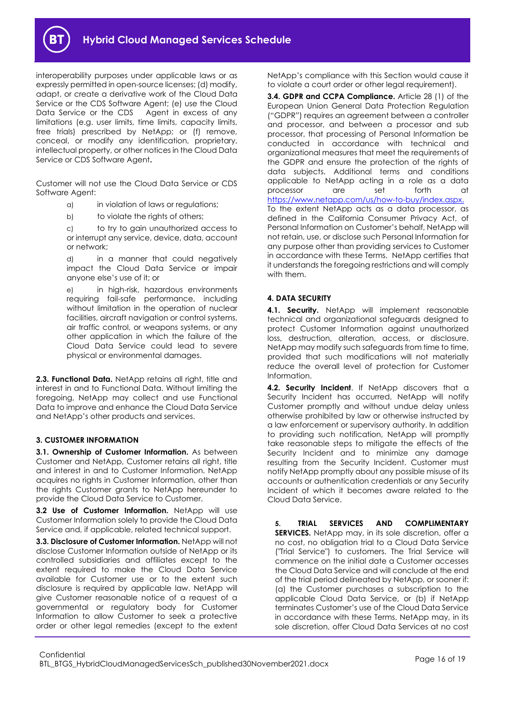

interoperability purposes under applicable laws or as expressly permitted in open-source licenses; (d) modify, adapt, or create a derivative work of the Cloud Data Service or the CDS Software Agent; (e) use the Cloud Data Service or the CDS Agent in excess of any limitations (e.g. user limits, time limits, capacity limits, free trials) prescribed by NetApp; or (f) remove, conceal, or modify any identification, proprietary, intellectual property, or other notices in the Cloud Data Service or CDS Software Agent**.**

Customer will not use the Cloud Data Service or CDS Software Agent:

- a) in violation of laws or regulations;
- b) to violate the rights of others;

c) to try to gain unauthorized access to or interrupt any service, device, data, account or network;

d) in a manner that could negatively impact the Cloud Data Service or impair anyone else's use of it; or

e) in high-risk, hazardous environments requiring fail-safe performance, including without limitation in the operation of nuclear facilities, aircraft navigation or control systems, air traffic control, or weapons systems, or any other application in which the failure of the Cloud Data Service could lead to severe physical or environmental damages.

**2.3. Functional Data.** NetApp retains all right, title and interest in and to Functional Data. Without limiting the foregoing, NetApp may collect and use Functional Data to improve and enhance the Cloud Data Service and NetApp's other products and services.

## **3. CUSTOMER INFORMATION**

**3.1. Ownership of Customer Information.** As between Customer and NetApp, Customer retains all right, title and interest in and to Customer Information. NetApp acquires no rights in Customer Information, other than the rights Customer grants to NetApp hereunder to provide the Cloud Data Service to Customer.

**3.2 Use of Customer Information.** NetApp will use Customer Information solely to provide the Cloud Data Service and, if applicable, related technical support.

**3.3. Disclosure of Customer Information.** NetApp will not disclose Customer Information outside of NetApp or its controlled subsidiaries and affiliates except to the extent required to make the Cloud Data Service available for Customer use or to the extent such disclosure is required by applicable law. NetApp will give Customer reasonable notice of a request of a governmental or regulatory body for Customer Information to allow Customer to seek a protective order or other legal remedies (except to the extent

NetApp's compliance with this Section would cause it to violate a court order or other legal requirement).

**3.4. GDPR and CCPA Compliance.** Article 28 (1) of the European Union General Data Protection Regulation ("GDPR") requires an agreement between a controller and processor, and between a processor and sub processor, that processing of Personal Information be conducted in accordance with technical and organizational measures that meet the requirements of the GDPR and ensure the protection of the rights of data subjects. Additional terms and conditions applicable to NetApp acting in a role as a data processor are set forth at [https://www.netapp.com/us/how-to-buy/index.aspx.](https://www.netapp.com/us/how-to-buy/index.aspx) To the extent NetApp acts as a data processor, as defined in the California Consumer Privacy Act, of Personal Information on Customer's behalf, NetApp will not retain, use, or disclose such Personal Information for any purpose other than providing services to Customer in accordance with these Terms. NetApp certifies that it understands the foregoing restrictions and will comply with them.

## **4. DATA SECURITY**

**4.1. Security.** NetApp will implement reasonable technical and organizational safeguards designed to protect Customer Information against unauthorized loss, destruction, alteration, access, or disclosure. NetApp may modify such safeguards from time to time, provided that such modifications will not materially reduce the overall level of protection for Customer Information.

**4.2. Security Incident**. If NetApp discovers that a Security Incident has occurred, NetApp will notify Customer promptly and without undue delay unless otherwise prohibited by law or otherwise instructed by a law enforcement or supervisory authority. In addition to providing such notification, NetApp will promptly take reasonable steps to mitigate the effects of the Security Incident and to minimize any damage resulting from the Security Incident. Customer must notify NetApp promptly about any possible misuse of its accounts or authentication credentials or any Security Incident of which it becomes aware related to the Cloud Data Service.

**5. TRIAL SERVICES AND COMPLIMENTARY SERVICES.** NetApp may, in its sole discretion, offer a no cost, no obligation trial to a Cloud Data Service ("Trial Service") to customers. The Trial Service will commence on the initial date a Customer accesses the Cloud Data Service and will conclude at the end of the trial period delineated by NetApp, or sooner if: (a) the Customer purchases a subscription to the applicable Cloud Data Service, or (b) if NetApp terminates Customer's use of the Cloud Data Service in accordance with these Terms. NetApp may, in its sole discretion, offer Cloud Data Services at no cost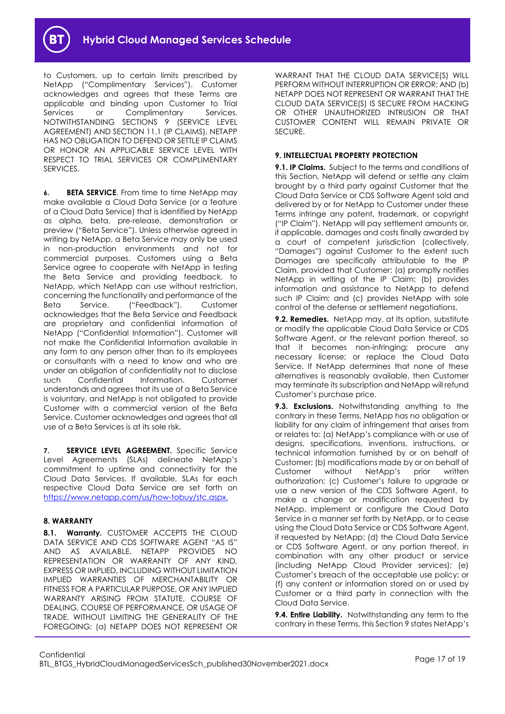

to Customers, up to certain limits prescribed by NetApp ("Complimentary Services"). Customer acknowledges and agrees that these Terms are applicable and binding upon Customer to Trial Services or Complimentary Services. NOTWITHSTANDING SECTIONS 9 (SERVICE LEVEL AGREEMENT) AND SECTION 11.1 (IP CLAIMS), NETAPP HAS NO OBLIGATION TO DEFEND OR SETTLE IP CLAIMS OR HONOR AN APPLICABLE SERVICE LEVEL WITH RESPECT TO TRIAL SERVICES OR COMPLIMENTARY SERVICES.

**6. BETA SERVICE**. From time to time NetApp may make available a Cloud Data Service (or a feature of a Cloud Data Service) that is identified by NetApp as alpha, beta, pre-release, demonstration or preview ("Beta Service"). Unless otherwise agreed in writing by NetApp, a Beta Service may only be used in non-production environments and not for commercial purposes. Customers using a Beta Service agree to cooperate with NetApp in testing the Beta Service and providing feedback, to NetApp, which NetApp can use without restriction, concerning the functionality and performance of the Beta Service. ("Feedback"). Customer acknowledges that the Beta Service and Feedback are proprietary and confidential information of NetApp ("Confidential Information"). Customer will not make the Confidential Information available in any form to any person other than to its employees or consultants with a need to know and who are under an obligation of confidentiality not to disclose such Confidential Information. Customer understands and agrees that its use of a Beta Service is voluntary, and NetApp is not obligated to provide Customer with a commercial version of the Beta Service. Customer acknowledges and agrees that all use of a Beta Services is at its sole risk.

**7. SERVICE LEVEL AGREEMENT.** Specific Service Level Agreements (SLAs) delineate NetApp's commitment to uptime and connectivity for the Cloud Data Services. If available, SLAs for each respective Cloud Data Service are set forth on [https://www.netapp.com/us/how-tobuy/stc.aspx.](https://www.netapp.com/us/how-to-buy/stc.aspx)

## **8. WARRANTY**

**8.1. Warranty.** CUSTOMER ACCEPTS THE CLOUD DATA SERVICE AND CDS SOFTWARE AGENT "AS IS" AND AS AVAILABLE. NETAPP PROVIDES NO REPRESENTATION OR WARRANTY OF ANY KIND, EXPRESS OR IMPLIED, INCLUDING WITHOUT LIMITATION IMPLIED WARRANTIES OF MERCHANTABILITY OR FITNESS FOR A PARTICULAR PURPOSE, OR ANY IMPLIED WARRANTY ARISING FROM STATUTE, COURSE OF DEALING, COURSE OF PERFORMANCE, OR USAGE OF TRADE. WITHOUT LIMITING THE GENERALITY OF THE FOREGOING: (a) NETAPP DOES NOT REPRESENT OR

WARRANT THAT THE CLOUD DATA SERVICE(S) WILL PERFORM WITHOUT INTERRUPTION OR ERROR; AND (b) NETAPP DOES NOT REPRESENT OR WARRANT THAT THE CLOUD DATA SERVICE(S) IS SECURE FROM HACKING OR OTHER UNAUTHORIZED INTRUSION OR THAT CUSTOMER CONTENT WILL REMAIN PRIVATE OR SECURE.

## **9. INTELLECTUAL PROPERTY PROTECTION**

**9.1. IP Claims.** Subject to the terms and conditions of this Section, NetApp will defend or settle any claim brought by a third party against Customer that the Cloud Data Service or CDS Software Agent sold and delivered by or for NetApp to Customer under these Terms infringe any patent, trademark, or copyright ("IP Claim"). NetApp will pay settlement amounts or, if applicable, damages and costs finally awarded by a court of competent jurisdiction (collectively, "Damages") against Customer to the extent such Damages are specifically attributable to the IP Claim, provided that Customer: (a) promptly notifies NetApp in writing of the IP Claim; (b) provides information and assistance to NetApp to defend such IP Claim; and (c) provides NetApp with sole control of the defense or settlement negotiations.

**9.2. Remedies.** NetApp may, at its option, substitute or modify the applicable Cloud Data Service or CDS Software Agent, or the relevant portion thereof, so that it becomes non-infringing; procure any necessary license; or replace the Cloud Data Service. If NetApp determines that none of these alternatives is reasonably available, then Customer may terminate its subscription and NetApp will refund Customer's purchase price.

**9.3. Exclusions.** Notwithstanding anything to the contrary in these Terms, NetApp has no obligation or liability for any claim of infringement that arises from or relates to: (a) NetApp's compliance with or use of designs, specifications, inventions, instructions, or technical information furnished by or on behalf of Customer; (b) modifications made by or on behalf of Customer without NetApp's prior written authorization; (c) Customer's failure to upgrade or use a new version of the CDS Software Agent, to make a change or modification requested by NetApp, implement or configure the Cloud Data Service in a manner set forth by NetApp, or to cease using the Cloud Data Service or CDS Software Agent, if requested by NetApp; (d) the Cloud Data Service or CDS Software Agent, or any portion thereof, in combination with any other product or service (including NetApp Cloud Provider services); (e) Customer's breach of the acceptable use policy; or (f) any content or information stored on or used by Customer or a third party in connection with the Cloud Data Service.

**9.4. Entire Liability.** Notwithstanding any term to the contrary in these Terms, this Section 9 states NetApp's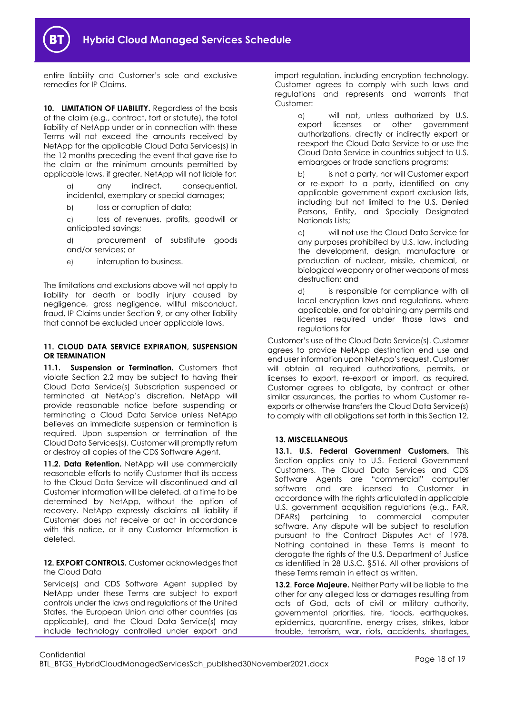

entire liability and Customer's sole and exclusive remedies for IP Claims.

10. LIMITATION OF LIABILITY. Regardless of the basis of the claim (e.g., contract, tort or statute), the total liability of NetApp under or in connection with these Terms will not exceed the amounts received by NetApp for the applicable Cloud Data Services(s) in the 12 months preceding the event that gave rise to the claim or the minimum amounts permitted by applicable laws, if greater. NetApp will not liable for:

> a) any indirect, consequential, incidental, exemplary or special damages;

b) loss or corruption of data;

c) loss of revenues, profits, goodwill or anticipated savings;

d) procurement of substitute goods and/or services; or

e) interruption to business.

The limitations and exclusions above will not apply to liability for death or bodily injury caused by negligence, gross negligence, willful misconduct, fraud, IP Claims under Section 9, or any other liability that cannot be excluded under applicable laws.

#### **11. CLOUD DATA SERVICE EXPIRATION, SUSPENSION OR TERMINATION**

**11.1. Suspension or Termination.** Customers that violate Section 2.2 may be subject to having their Cloud Data Service(s) Subscription suspended or terminated at NetApp's discretion. NetApp will provide reasonable notice before suspending or terminating a Cloud Data Service unless NetApp believes an immediate suspension or termination is required. Upon suspension or termination of the Cloud Data Services(s), Customer will promptly return or destroy all copies of the CDS Software Agent.

11.2. Data Retention. NetApp will use commercially reasonable efforts to notify Customer that its access to the Cloud Data Service will discontinued and all Customer Information will be deleted, at a time to be determined by NetApp, without the option of recovery. NetApp expressly disclaims all liability if Customer does not receive or act in accordance with this notice, or it any Customer Information is deleted.

12. **EXPORT CONTROLS.** Customer acknowledges that the Cloud Data

Service(s) and CDS Software Agent supplied by NetApp under these Terms are subject to export controls under the laws and regulations of the United States, the European Union and other countries (as applicable), and the Cloud Data Service(s) may include technology controlled under export and

import regulation, including encryption technology. Customer agrees to comply with such laws and regulations and represents and warrants that Customer:

> a) will not, unless authorized by U.S. export licenses or other government authorizations, directly or indirectly export or reexport the Cloud Data Service to or use the Cloud Data Service in countries subject to U.S. embargoes or trade sanctions programs;

b) is not a party, nor will Customer export or re-export to a party, identified on any applicable government export exclusion lists, including but not limited to the U.S. Denied Persons, Entity, and Specially Designated Nationals Lists;

c) will not use the Cloud Data Service for any purposes prohibited by U.S. law, including the development, design, manufacture or production of nuclear, missile, chemical, or biological weaponry or other weapons of mass destruction; and

d) is responsible for compliance with all local encryption laws and regulations, where applicable, and for obtaining any permits and licenses required under those laws and regulations for

Customer's use of the Cloud Data Service(s). Customer agrees to provide NetApp destination end use and end user information upon NetApp's request. Customer will obtain all required authorizations, permits, or licenses to export, re-export or import, as required. Customer agrees to obligate, by contract or other similar assurances, the parties to whom Customer reexports or otherwise transfers the Cloud Data Service(s) to comply with all obligations set forth in this Section 12.

## **13. MISCELLANEOUS**

**13.1. U.S. Federal Government Customers.** This Section applies only to U.S. Federal Government Customers. The Cloud Data Services and CDS Software Agents are "commercial" computer software and are licensed to Customer in accordance with the rights articulated in applicable U.S. government acquisition regulations (e.g., FAR, DFARs) pertaining to commercial computer software. Any dispute will be subject to resolution pursuant to the Contract Disputes Act of 1978. Nothing contained in these Terms is meant to derogate the rights of the U.S. Department of Justice as identified in 28 U.S.C. §516. All other provisions of these Terms remain in effect as written.

**13.2**. **Force Majeure.** Neither Party will be liable to the other for any alleged loss or damages resulting from acts of God, acts of civil or military authority, governmental priorities, fire, floods, earthquakes, epidemics, quarantine, energy crises, strikes, labor trouble, terrorism, war, riots, accidents, shortages,